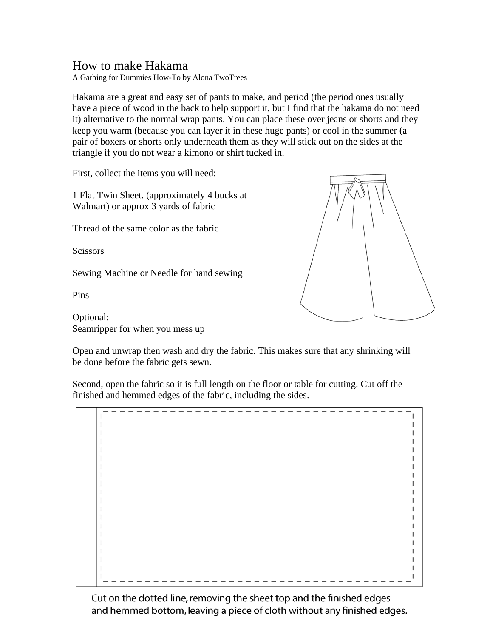## How to make Hakama

A Garbing for Dummies How-To by Alona TwoTrees

Hakama are a great and easy set of pants to make, and period (the period ones usually have a piece of wood in the back to help support it, but I find that the hakama do not need it) alternative to the normal wrap pants. You can place these over jeans or shorts and they keep you warm (because you can layer it in these huge pants) or cool in the summer (a pair of boxers or shorts only underneath them as they will stick out on the sides at the triangle if you do not wear a kimono or shirt tucked in.

First, collect the items you will need:

1 Flat Twin Sheet. (approximately 4 bucks at Walmart) or approx 3 yards of fabric

Thread of the same color as the fabric

**Scissors** 

Sewing Machine or Needle for hand sewing

Pins

Optional: Seamripper for when you mess up



Open and unwrap then wash and dry the fabric. This makes sure that any shrinking will be done before the fabric gets sewn.

Second, open the fabric so it is full length on the floor or table for cutting. Cut off the finished and hemmed edges of the fabric, including the sides.

 $\mathbf{I}$  $\mathbf{I}$ L

Cut on the dotted line, removing the sheet top and the finished edges and hemmed bottom, leaving a piece of cloth without any finished edges.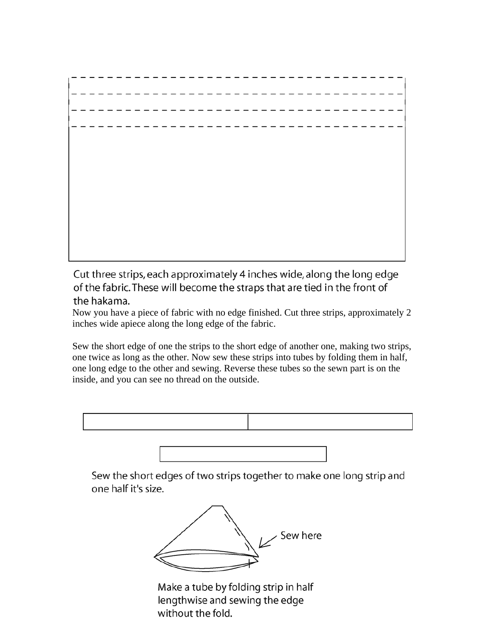Cut three strips, each approximately 4 inches wide, along the long edge of the fabric. These will become the straps that are tied in the front of the hakama.

Now you have a piece of fabric with no edge finished. Cut three strips, approximately 2 inches wide apiece along the long edge of the fabric.

Sew the short edge of one the strips to the short edge of another one, making two strips, one twice as long as the other. Now sew these strips into tubes by folding them in half, one long edge to the other and sewing. Reverse these tubes so the sewn part is on the inside, and you can see no thread on the outside.



Sew the short edges of two strips together to make one long strip and one half it's size.



Make a tube by folding strip in half lengthwise and sewing the edge without the fold.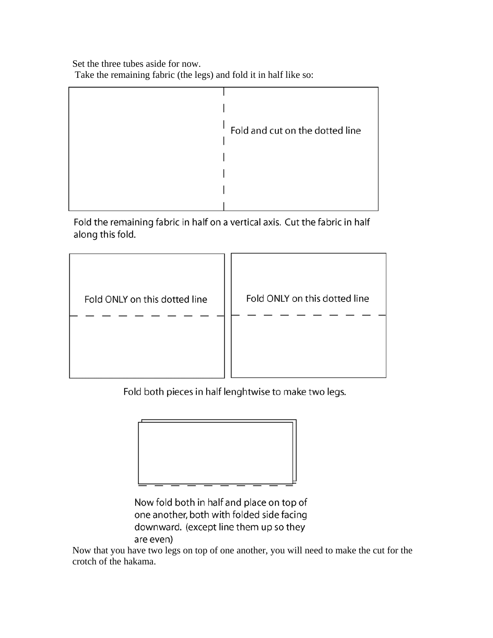Set the three tubes aside for now.

Take the remaining fabric (the legs) and fold it in half like so:



Fold the remaining fabric in half on a vertical axis. Cut the fabric in half along this fold.



Fold both pieces in half lenghtwise to make two legs.



Now fold both in half and place on top of one another, both with folded side facing downward. (except line them up so they are even)

Now that you have two legs on top of one another, you will need to make the cut for the crotch of the hakama.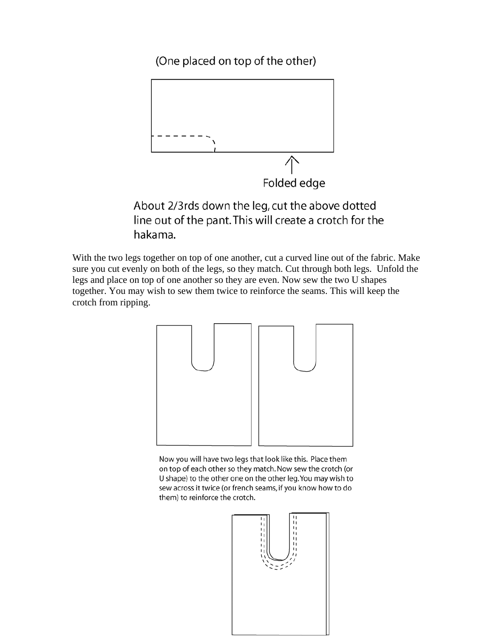(One placed on top of the other)



About 2/3rds down the leg, cut the above dotted line out of the pant. This will create a crotch for the hakama.

With the two legs together on top of one another, cut a curved line out of the fabric. Make sure you cut evenly on both of the legs, so they match. Cut through both legs. Unfold the legs and place on top of one another so they are even. Now sew the two U shapes together. You may wish to sew them twice to reinforce the seams. This will keep the crotch from ripping.



Now you will have two legs that look like this. Place them on top of each other so they match. Now sew the crotch (or U shape) to the other one on the other leg. You may wish to sew across it twice (or french seams, if you know how to do them) to reinforce the crotch.

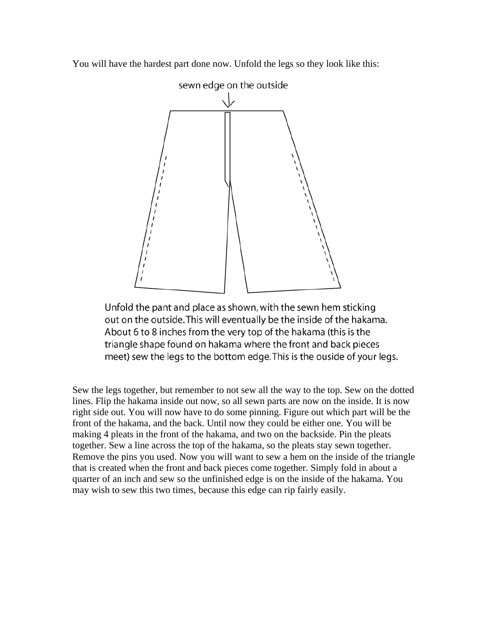You will have the hardest part done now. Unfold the legs so they look like this:



Unfold the pant and place as shown, with the sewn hem sticking out on the outside. This will eventually be the inside of the hakama. About 6 to 8 inches from the very top of the hakama (this is the triangle shape found on hakama where the front and back pieces meet) sew the legs to the bottom edge. This is the ouside of your legs.

Sew the legs together, but remember to not sew all the way to the top. Sew on the dotted lines. Flip the hakama inside out now, so all sewn parts are now on the inside. It is now right side out. You will now have to do some pinning. Figure out which part will be the front of the hakama, and the back. Until now they could be either one. You will be making 4 pleats in the front of the hakama, and two on the backside. Pin the pleats together. Sew a line across the top of the hakama, so the pleats stay sewn together. Remove the pins you used. Now you will want to sew a hem on the inside of the triangle that is created when the front and back pieces come together. Simply fold in about a quarter of an inch and sew so the unfinished edge is on the inside of the hakama. You may wish to sew this two times, because this edge can rip fairly easily.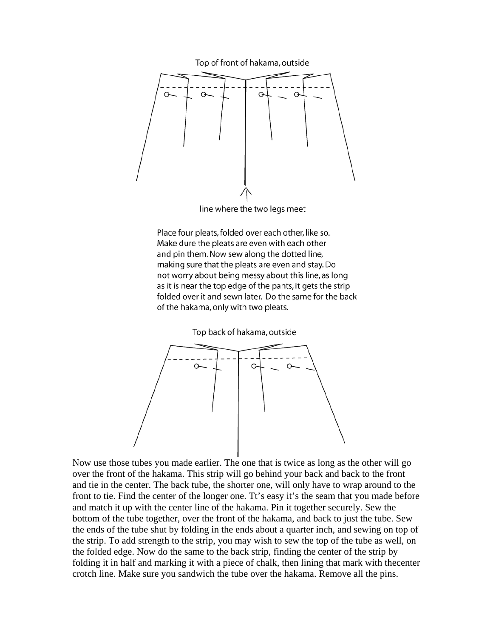

line where the two legs meet

Place four pleats, folded over each other, like so. Make dure the pleats are even with each other and pin them. Now sew along the dotted line, making sure that the pleats are even and stay. Do not worry about being messy about this line, as long as it is near the top edge of the pants, it gets the strip folded over it and sewn later. Do the same for the back of the hakama, only with two pleats.



Now use those tubes you made earlier. The one that is twice as long as the other will go over the front of the hakama. This strip will go behind your back and back to the front and tie in the center. The back tube, the shorter one, will only have to wrap around to the front to tie. Find the center of the longer one. Tt's easy it's the seam that you made before and match it up with the center line of the hakama. Pin it together securely. Sew the bottom of the tube together, over the front of the hakama, and back to just the tube. Sew the ends of the tube shut by folding in the ends about a quarter inch, and sewing on top of the strip. To add strength to the strip, you may wish to sew the top of the tube as well, on the folded edge. Now do the same to the back strip, finding the center of the strip by folding it in half and marking it with a piece of chalk, then lining that mark with thecenter crotch line. Make sure you sandwich the tube over the hakama. Remove all the pins.